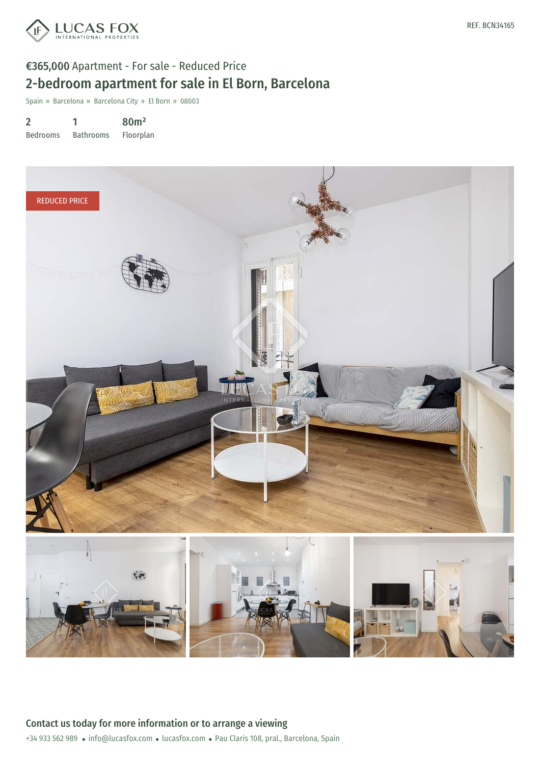

# €365,000 Apartment - For sale - Reduced Price 2-bedroom apartment for sale in El Born, Barcelona

Spain » Barcelona » Barcelona City » El Born » 08003

2 Bedrooms 1 Bathrooms 80m² Floorplan

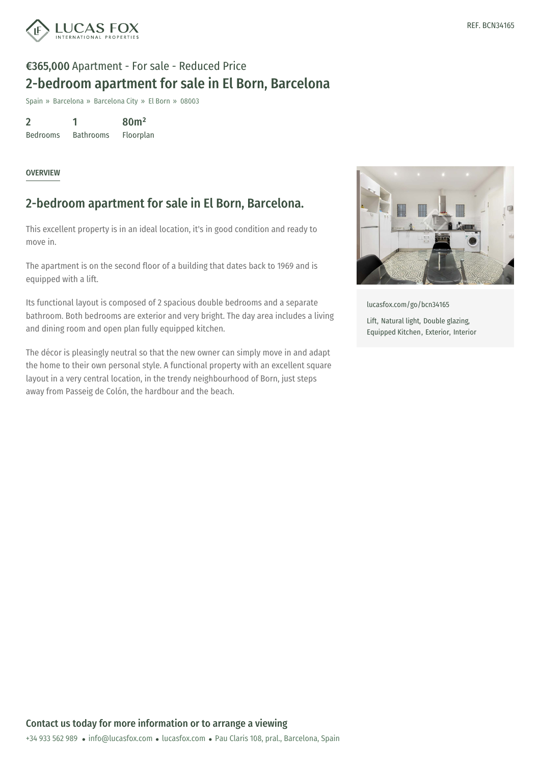

# €365,000 Apartment - For sale - Reduced Price 2-bedroom apartment for sale in El Born, Barcelona

Spain » Barcelona » Barcelona City » El Born » 08003

2 Bedrooms 1 Bathrooms 80m² Floorplan

#### **OVERVIEW**

### 2-bedroom apartment for sale in El Born, Barcelona.

This excellent property is in an ideal location, it's in good condition and ready to move in.

The apartment is on the second floor of a building that dates back to 1969 and is equipped with a lift.

Its functional layout is composed of 2 spacious double bedrooms and a separate bathroom. Both bedrooms are exterior and very bright. The day area includes a living and dining room and open plan fully equipped kitchen.

The décor is pleasingly neutral so that the new owner can simply move in and adapt the home to their own personal style. A functional property with an excellent square layout in a very central location, in the trendy neighbourhood of Born, just steps away from Passeig de Colón, the hardbour and the beach.



[lucasfox.com/go/bcn34165](https://www.lucasfox.com/go/bcn34165)

Lift, Natural light, Double glazing, Equipped Kitchen, Exterior, Interior